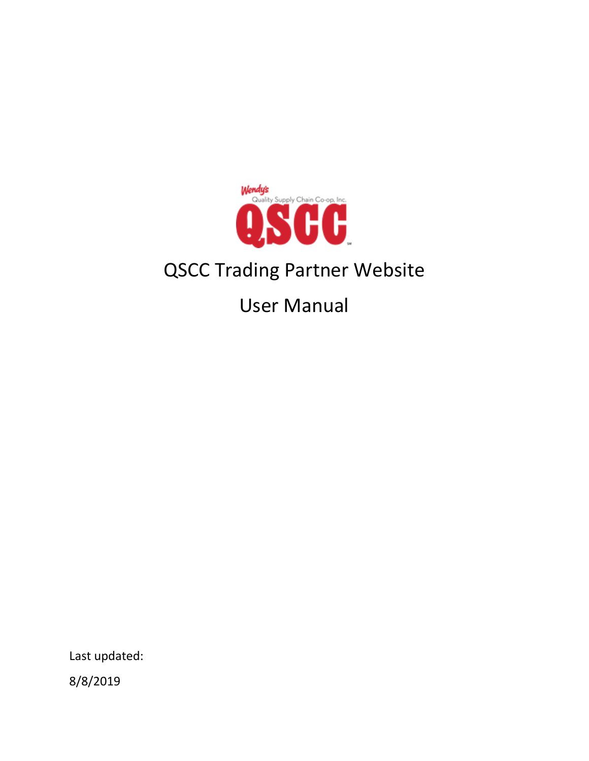

# QSCC Trading Partner Website

User Manual

Last updated:

8/8/2019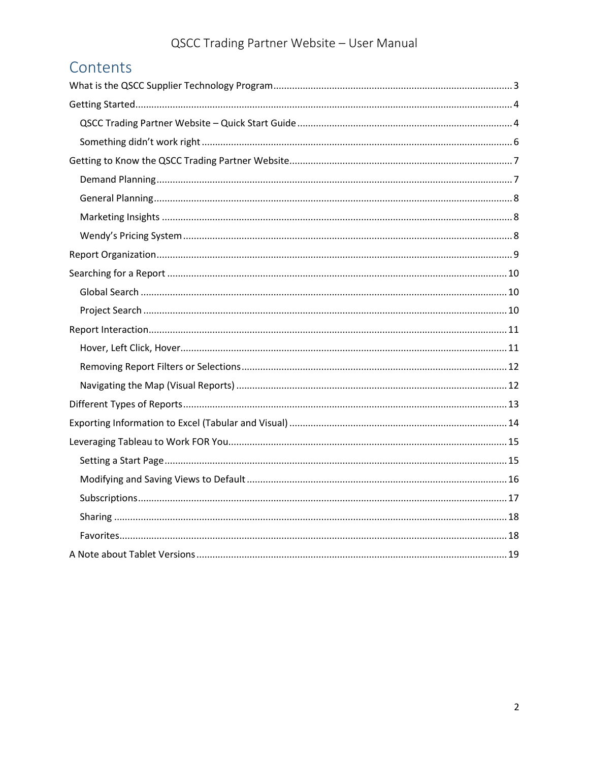# Contents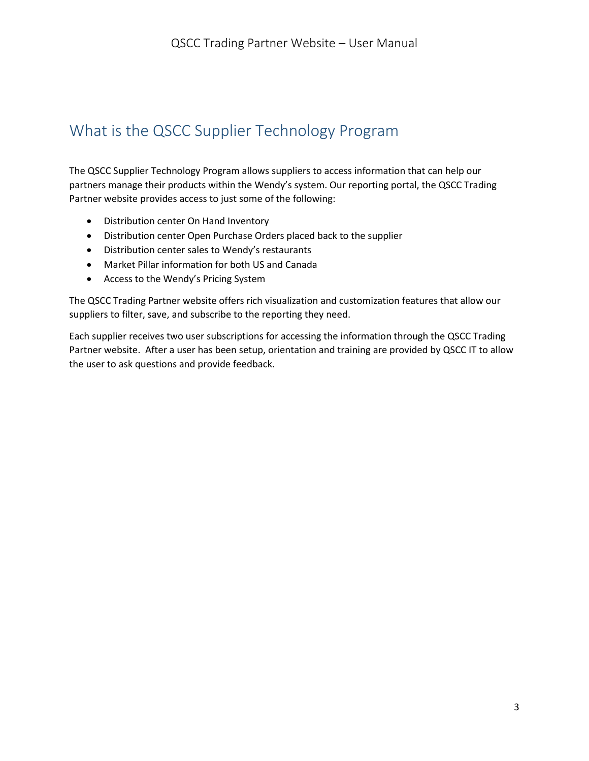# <span id="page-2-0"></span>What is the QSCC Supplier Technology Program

The QSCC Supplier Technology Program allows suppliers to access information that can help our partners manage their products within the Wendy's system. Our reporting portal, the QSCC Trading Partner website provides access to just some of the following:

- Distribution center On Hand Inventory
- Distribution center Open Purchase Orders placed back to the supplier
- Distribution center sales to Wendy's restaurants
- Market Pillar information for both US and Canada
- Access to the Wendy's Pricing System

The QSCC Trading Partner website offers rich visualization and customization features that allow our suppliers to filter, save, and subscribe to the reporting they need.

Each supplier receives two user subscriptions for accessing the information through the QSCC Trading Partner website. After a user has been setup, orientation and training are provided by QSCC IT to allow the user to ask questions and provide feedback.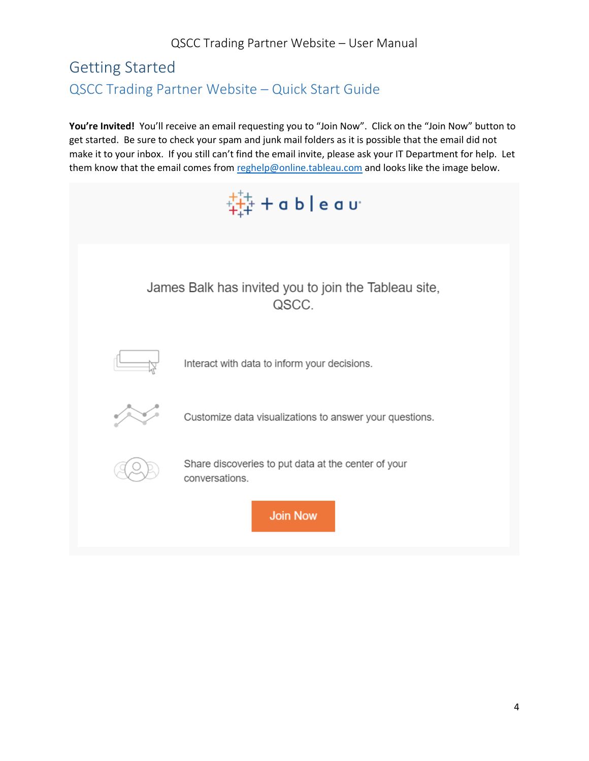# <span id="page-3-1"></span><span id="page-3-0"></span>Getting Started QSCC Trading Partner Website – Quick Start Guide

You're Invited! You'll receive an email requesting you to "Join Now". Click on the "Join Now" button to get started. Be sure to check your spam and junk mail folders as it is possible that the email did not make it to your inbox. If you still can't find the email invite, please ask your IT Department for help. Let them know that the email comes from [reghelp@online.tableau.com](mailto:reghelp@online.tableau.com) and looks like the image below.

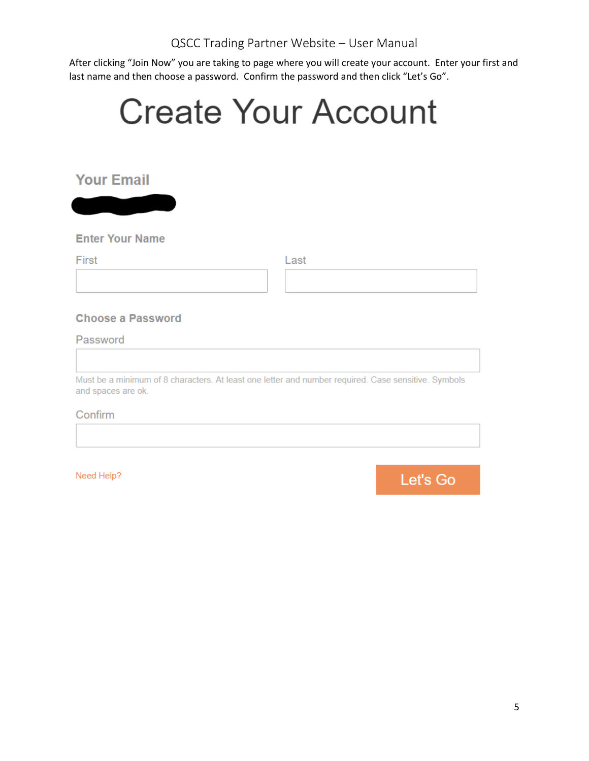After clicking "Join Now" you are taking to page where you will create your account. Enter your first and last name and then choose a password. Confirm the password and then click "Let's Go".

| <b>Create Your Account</b> |                                                                                                     |  |  |
|----------------------------|-----------------------------------------------------------------------------------------------------|--|--|
|                            |                                                                                                     |  |  |
| <b>Your Email</b>          |                                                                                                     |  |  |
|                            |                                                                                                     |  |  |
| <b>Enter Your Name</b>     |                                                                                                     |  |  |
| First                      | Last                                                                                                |  |  |
|                            |                                                                                                     |  |  |
|                            |                                                                                                     |  |  |
| <b>Choose a Password</b>   |                                                                                                     |  |  |
| Password                   |                                                                                                     |  |  |
|                            |                                                                                                     |  |  |
| and spaces are ok.         | Must be a minimum of 8 characters. At least one letter and number required. Case sensitive. Symbols |  |  |
| Confirm                    |                                                                                                     |  |  |

Need Help?

Let's Go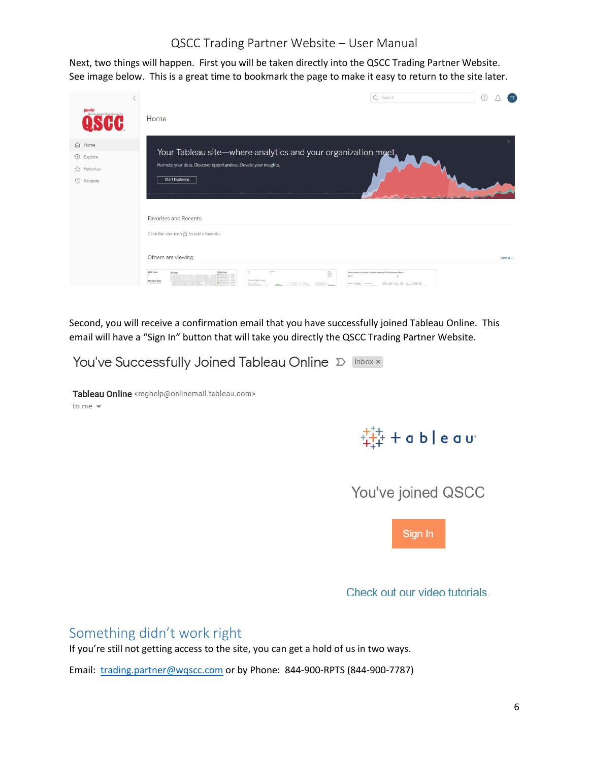Next, two things will happen. First you will be taken directly into the QSCC Trading Partner Website. See image below. This is a great time to bookmark the page to make it easy to return to the site later.

| <b>Vendy's</b><br>Quality Supply Chain Co-op, Inc.                          | Q Search<br>(2)<br>$\pi$<br>Home                                                                                                                                                                                                                                                                                                    |
|-----------------------------------------------------------------------------|-------------------------------------------------------------------------------------------------------------------------------------------------------------------------------------------------------------------------------------------------------------------------------------------------------------------------------------|
| m Home<br><b><i>C</i></b> Explore<br>公 Favorites<br><b><i>Q</i></b> Recents | Your Tableau site-where analytics and your organization meet.<br>Harness your data. Discover opportunities. Elevate your insights.<br><b>Start Exploring</b>                                                                                                                                                                        |
|                                                                             | Favorites and Recents<br>Click the star icon $\chi$ to add a favorite.<br>Others are viewing<br>See All<br>$\mathcal{V}^{\text{R}}$<br><b>ASER ISAM</b><br>t.<br>ē<br>DC Map<br>Ship From<br>Date is beend on the last five fixcal weaks of DC to Restaurant Bales<br>VehmeMap (Cases)<br>On Hand Date<br>low the fire may then the |

Second, you will receive a confirmation email that you have successfully joined Tableau Online. This email will have a "Sign In" button that will take you directly the QSCC Trading Partner Website.

| You've Successfully Joined Tableau Online D Inbox x |  |
|-----------------------------------------------------|--|
|                                                     |  |

Tableau Online <reghelp@onlinemail.tableau.com> to me  $\sqrt{*}$ 



You've joined QSCC



Check out our video tutorials.

<span id="page-5-0"></span>Something didn't work right

If you're still not getting access to the site, you can get a hold of us in two ways.

Email: [trading.partner@wqscc.com](mailto:trading.partner@wqscc.com) or by Phone: 844-900-RPTS (844-900-7787)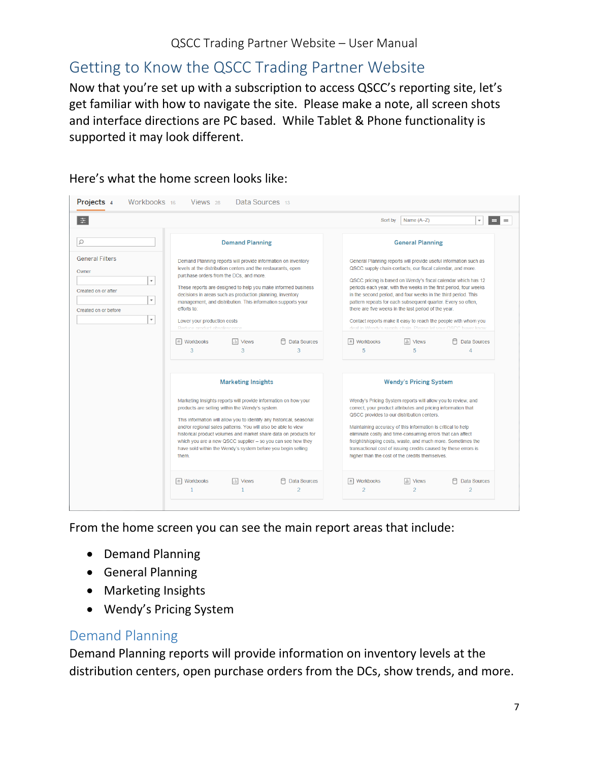# <span id="page-6-0"></span>Getting to Know the QSCC Trading Partner Website

Now that you're set up with a subscription to access QSCC's reporting site, let's get familiar with how to navigate the site. Please make a note, all screen shots and interface directions are PC based. While Tablet & Phone functionality is supported it may look different.

| Projects <sub>4</sub><br>Workbooks 16                                                                                                                              | Views <sub>28</sub><br>Data Sources 13                                                                                                                                                                                                                                                                                                                                                                                                                                                                                                       |                                                                                                                                                                                                                                                                                                                                                                                                                                                                                                                                                                                                                                                                                         |
|--------------------------------------------------------------------------------------------------------------------------------------------------------------------|----------------------------------------------------------------------------------------------------------------------------------------------------------------------------------------------------------------------------------------------------------------------------------------------------------------------------------------------------------------------------------------------------------------------------------------------------------------------------------------------------------------------------------------------|-----------------------------------------------------------------------------------------------------------------------------------------------------------------------------------------------------------------------------------------------------------------------------------------------------------------------------------------------------------------------------------------------------------------------------------------------------------------------------------------------------------------------------------------------------------------------------------------------------------------------------------------------------------------------------------------|
| E.                                                                                                                                                                 |                                                                                                                                                                                                                                                                                                                                                                                                                                                                                                                                              | Sort by<br>Name $(A-Z)$<br><b>HE</b><br>۰<br>$\equiv$                                                                                                                                                                                                                                                                                                                                                                                                                                                                                                                                                                                                                                   |
| $\Omega$                                                                                                                                                           | <b>Demand Planning</b>                                                                                                                                                                                                                                                                                                                                                                                                                                                                                                                       | <b>General Planning</b>                                                                                                                                                                                                                                                                                                                                                                                                                                                                                                                                                                                                                                                                 |
| <b>General Filters</b><br>Owner<br>$\overline{\phantom{a}}$<br>Created on or after<br>$\overline{\phantom{a}}$<br>Created on or before<br>$\overline{\phantom{a}}$ | Demand Planning reports will provide information on inventory<br>levels at the distribution centers and the restaurants, open<br>purchase orders from the DCs, and more.<br>These reports are designed to help you make informed business<br>decisions in areas such as production planning, inventory<br>management, and distribution. This information supports your<br>efforts to:<br>Lower your production costs<br>Reduce product obsolescence<br>Я<br><sup>』</sup> Workbooks<br><b>III</b> Views<br><b>Data Sources</b><br>3<br>3<br>3 | General Planning reports will provide useful information such as<br>QSCC supply chain contacts, our fiscal calendar, and more.<br>QSCC pricing is based on Wendy's fiscal calendar which has 12<br>periods each year, with five weeks in the first period, four weeks<br>in the second period, and four weeks in the third period. This<br>pattern repeats for each subsequent quarter. Every so often,<br>there are five weeks in the last period of the year.<br>Contact reports make it easy to reach the people with whom you<br>deal in Wendy's supply chain. Please let your OSCC buver know<br>$\left  \pm \right $ Workbooks<br>III Views<br><b>Data Sources</b><br>5<br>5<br>4 |
|                                                                                                                                                                    | <b>Marketing Insights</b><br>Marketing Insights reports will provide information on how your<br>products are selling within the Wendy's system.<br>This information will allow you to identify any historical, seasonal<br>and/or regional sales patterns. You will also be able to view<br>historical product volumes and market share data on products for<br>which you are a new QSCC supplier - so you can see how they<br>have sold within the Wendy's system before you begin selling<br>them.                                         | <b>Wendy's Pricing System</b><br>Wendy's Pricing System reports will allow you to review, and<br>correct, your product attributes and pricing information that<br>QSCC provides to our distribution centers.<br>Maintaining accuracy of this information is critical to help<br>eliminate costly and time-consuming errors that can affect<br>freight/shipping costs, waste, and much more. Sometimes the<br>transactional cost of issuing credits caused by these errors is<br>higher than the cost of the credits themselves.                                                                                                                                                         |
|                                                                                                                                                                    | <b>A</b> Workbooks<br>III Views<br>A<br><b>Data Sources</b><br>$\overline{\phantom{a}}$<br>1                                                                                                                                                                                                                                                                                                                                                                                                                                                 | □ Workbooks<br><b>Data Sources</b><br><b>Views</b><br>l ili<br>$\overline{a}$<br>2<br>2                                                                                                                                                                                                                                                                                                                                                                                                                                                                                                                                                                                                 |

Here's what the home screen looks like:

From the home screen you can see the main report areas that include:

- Demand Planning
- General Planning
- Marketing Insights
- Wendy's Pricing System

### <span id="page-6-1"></span>Demand Planning

Demand Planning reports will provide information on inventory levels at the distribution centers, open purchase orders from the DCs, show trends, and more.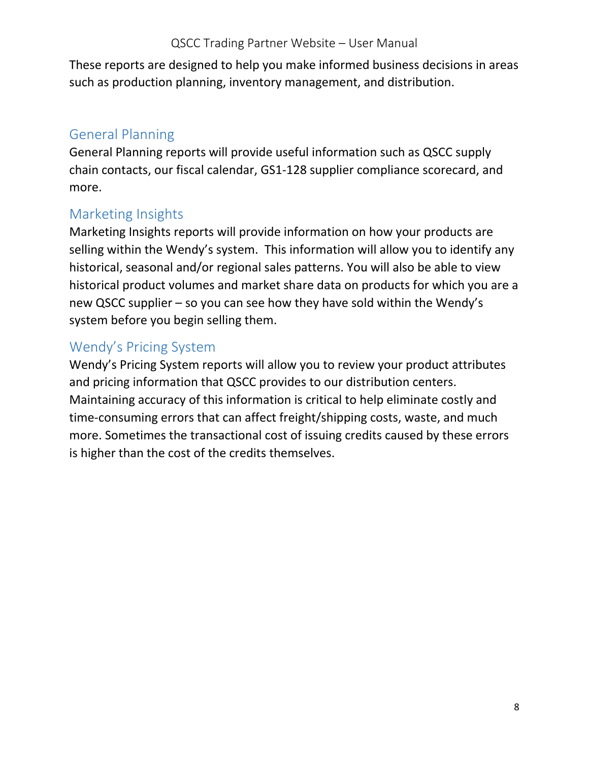These reports are designed to help you make informed business decisions in areas such as production planning, inventory management, and distribution.

# <span id="page-7-0"></span>General Planning

General Planning reports will provide useful information such as QSCC supply chain contacts, our fiscal calendar, GS1-128 supplier compliance scorecard, and more.

### <span id="page-7-1"></span>Marketing Insights

Marketing Insights reports will provide information on how your products are selling within the Wendy's system. This information will allow you to identify any historical, seasonal and/or regional sales patterns. You will also be able to view historical product volumes and market share data on products for which you are a new QSCC supplier – so you can see how they have sold within the Wendy's system before you begin selling them.

### <span id="page-7-2"></span>Wendy's Pricing System

Wendy's Pricing System reports will allow you to review your product attributes and pricing information that QSCC provides to our distribution centers. Maintaining accuracy of this information is critical to help eliminate costly and time-consuming errors that can affect freight/shipping costs, waste, and much more. Sometimes the transactional cost of issuing credits caused by these errors is higher than the cost of the credits themselves.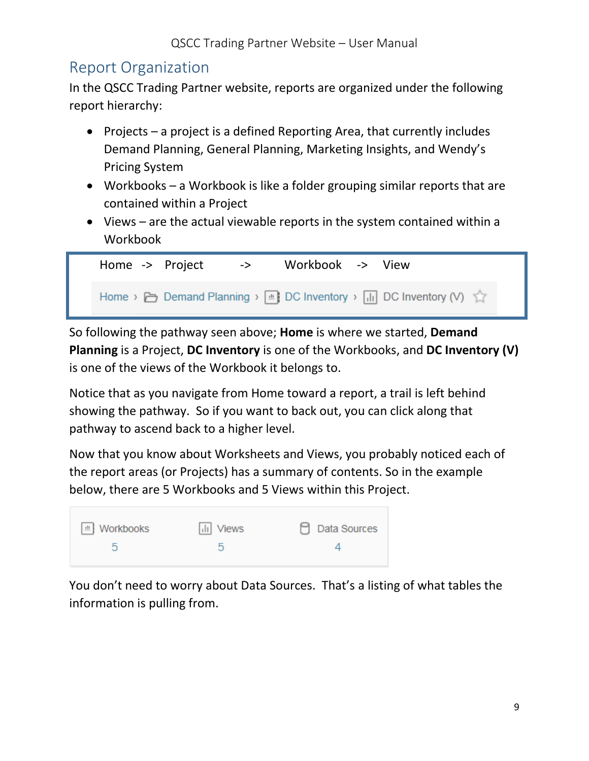# <span id="page-8-0"></span>Report Organization

In the QSCC Trading Partner website, reports are organized under the following report hierarchy:

- Projects a project is a defined Reporting Area, that currently includes Demand Planning, General Planning, Marketing Insights, and Wendy's Pricing System
- Workbooks a Workbook is like a folder grouping similar reports that are contained within a Project
- Views are the actual viewable reports in the system contained within a Workbook

| Home -> Project | -> | Workbook -> View |                                                                                      |
|-----------------|----|------------------|--------------------------------------------------------------------------------------|
|                 |    |                  | Home > $\Box$ Demand Planning > $\Box$ DC Inventory > $\Box$ DC Inventory (V) $\Box$ |

So following the pathway seen above; **Home** is where we started, **Demand Planning** is a Project, **DC Inventory** is one of the Workbooks, and **DC Inventory (V)** is one of the views of the Workbook it belongs to.

Notice that as you navigate from Home toward a report, a trail is left behind showing the pathway. So if you want to back out, you can click along that pathway to ascend back to a higher level.

Now that you know about Worksheets and Views, you probably noticed each of the report areas (or Projects) has a summary of contents. So in the example below, there are 5 Workbooks and 5 Views within this Project.

| □ Workbooks | Ill Views | $\Box$ Data Sources |
|-------------|-----------|---------------------|
| b           | b         |                     |

You don't need to worry about Data Sources. That's a listing of what tables the information is pulling from.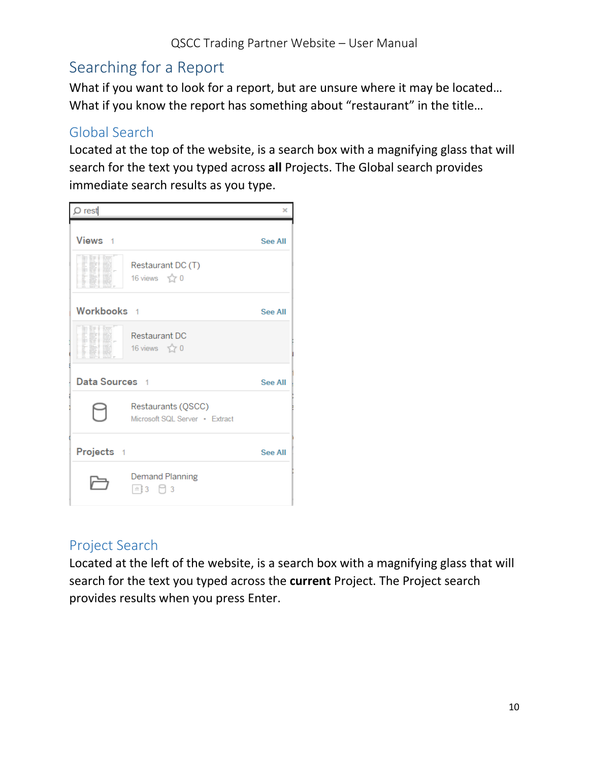# <span id="page-9-0"></span>Searching for a Report

What if you want to look for a report, but are unsure where it may be located… What if you know the report has something about "restaurant" in the title...

### <span id="page-9-1"></span>Global Search

Located at the top of the website, is a search box with a magnifying glass that will search for the text you typed across **all** Projects. The Global search provides immediate search results as you type.



### <span id="page-9-2"></span>Project Search

Located at the left of the website, is a search box with a magnifying glass that will search for the text you typed across the **current** Project. The Project search provides results when you press Enter.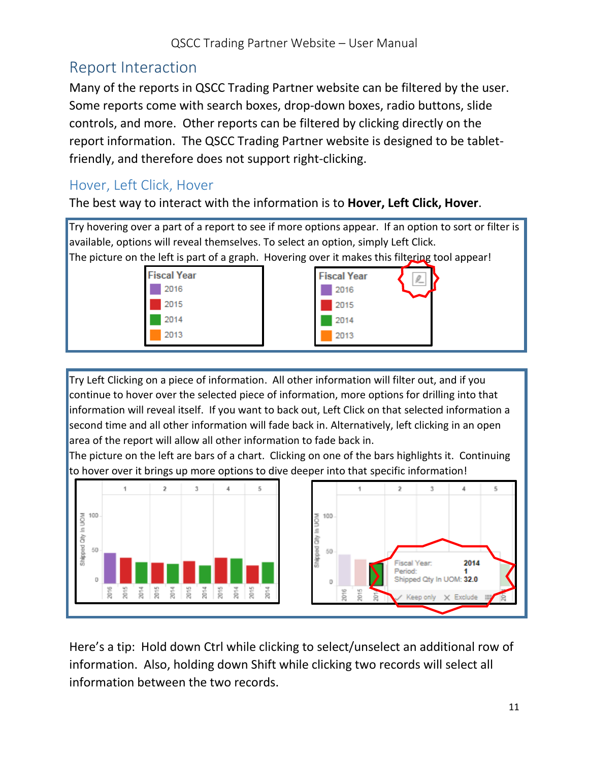# <span id="page-10-0"></span>Report Interaction

Many of the reports in QSCC Trading Partner website can be filtered by the user. Some reports come with search boxes, drop-down boxes, radio buttons, slide controls, and more. Other reports can be filtered by clicking directly on the report information. The QSCC Trading Partner website is designed to be tabletfriendly, and therefore does not support right-clicking.

### <span id="page-10-1"></span>Hover, Left Click, Hover

The best way to interact with the information is to **Hover, Left Click, Hover**.

Try hovering over a part of a report to see if more options appear. If an option to sort or filter is available, options will reveal themselves. To select an option, simply Left Click. The picture on the left is part of a graph. Hovering over it makes this filtering tool appear!



Try Left Clicking on a piece of information. All other information will filter out, and if you continue to hover over the selected piece of information, more options for drilling into that information will reveal itself. If you want to back out, Left Click on that selected information a second time and all other information will fade back in. Alternatively, left clicking in an open area of the report will allow all other information to fade back in.

The picture on the left are bars of a chart. Clicking on one of the bars highlights it. Continuing to hover over it brings up more options to dive deeper into that specific information!



Here's a tip: Hold down Ctrl while clicking to select/unselect an additional row of information. Also, holding down Shift while clicking two records will select all information between the two records.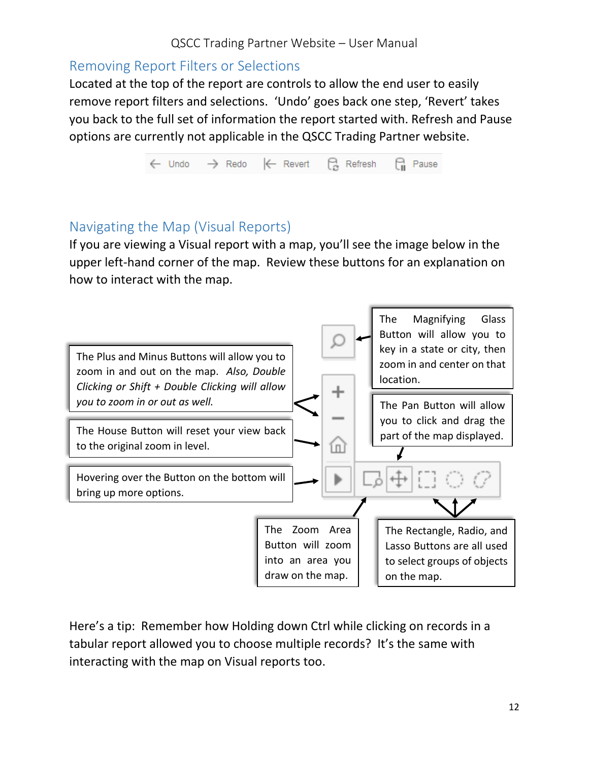#### <span id="page-11-0"></span>Removing Report Filters or Selections

Located at the top of the report are controls to allow the end user to easily remove report filters and selections. 'Undo' goes back one step, 'Revert' takes you back to the full set of information the report started with. Refresh and Pause options are currently not applicable in the QSCC Trading Partner website.



### <span id="page-11-1"></span>Navigating the Map (Visual Reports)

If you are viewing a Visual report with a map, you'll see the image below in the upper left-hand corner of the map. Review these buttons for an explanation on how to interact with the map.



Here's a tip: Remember how Holding down Ctrl while clicking on records in a tabular report allowed you to choose multiple records? It's the same with interacting with the map on Visual reports too.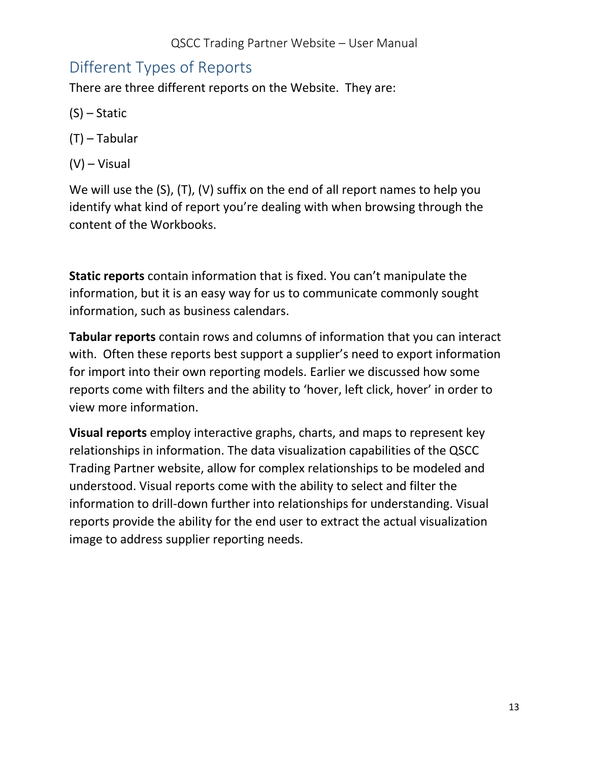# <span id="page-12-0"></span>Different Types of Reports

There are three different reports on the Website. They are:

- (S) Static
- (T) Tabular
- (V) Visual

We will use the (S), (T), (V) suffix on the end of all report names to help you identify what kind of report you're dealing with when browsing through the content of the Workbooks.

**Static reports** contain information that is fixed. You can't manipulate the information, but it is an easy way for us to communicate commonly sought information, such as business calendars.

**Tabular reports** contain rows and columns of information that you can interact with. Often these reports best support a supplier's need to export information for import into their own reporting models. Earlier we discussed how some reports come with filters and the ability to 'hover, left click, hover' in order to view more information.

**Visual reports** employ interactive graphs, charts, and maps to represent key relationships in information. The data visualization capabilities of the QSCC Trading Partner website, allow for complex relationships to be modeled and understood. Visual reports come with the ability to select and filter the information to drill-down further into relationships for understanding. Visual reports provide the ability for the end user to extract the actual visualization image to address supplier reporting needs.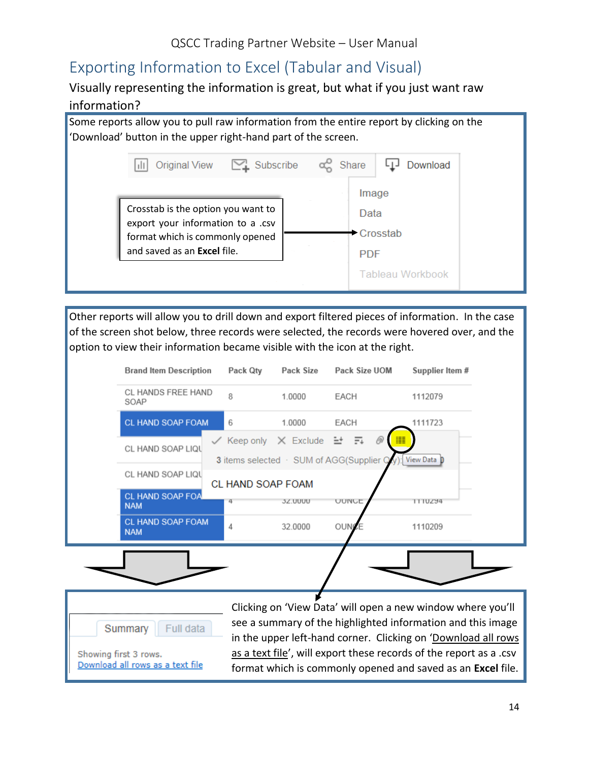# <span id="page-13-0"></span>Exporting Information to Excel (Tabular and Visual)

#### Visually representing the information is great, but what if you just want raw

#### information?

Some reports allow you to pull raw information from the entire report by clicking on the 'Download' button in the upper right-hand part of the screen.



Other reports will allow you to drill down and export filtered pieces of information. In the case of the screen shot below, three records were selected, the records were hovered over, and the option to view their information became visible with the icon at the right.

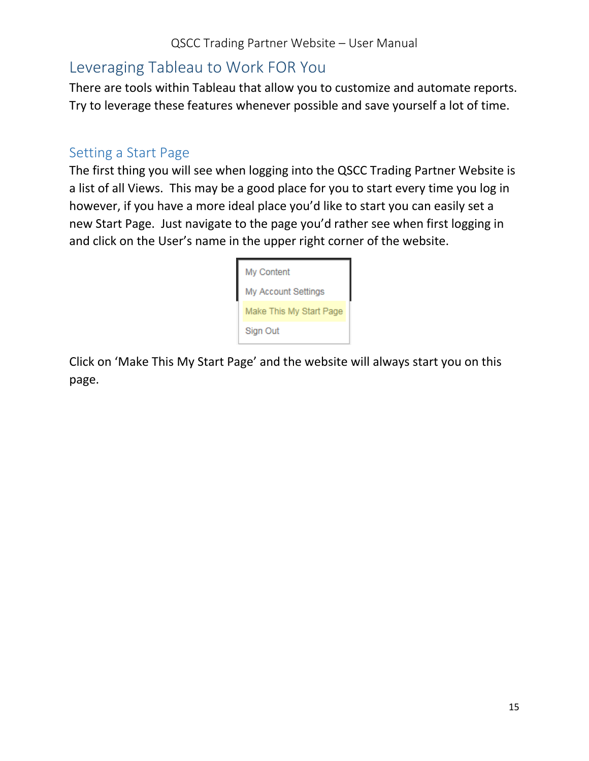# <span id="page-14-0"></span>Leveraging Tableau to Work FOR You

There are tools within Tableau that allow you to customize and automate reports. Try to leverage these features whenever possible and save yourself a lot of time.

### <span id="page-14-1"></span>Setting a Start Page

The first thing you will see when logging into the QSCC Trading Partner Website is a list of all Views. This may be a good place for you to start every time you log in however, if you have a more ideal place you'd like to start you can easily set a new Start Page. Just navigate to the page you'd rather see when first logging in and click on the User's name in the upper right corner of the website.

| My Content                 |
|----------------------------|
| <b>My Account Settings</b> |
| Make This My Start Page    |
| Sign Out                   |

Click on 'Make This My Start Page' and the website will always start you on this page.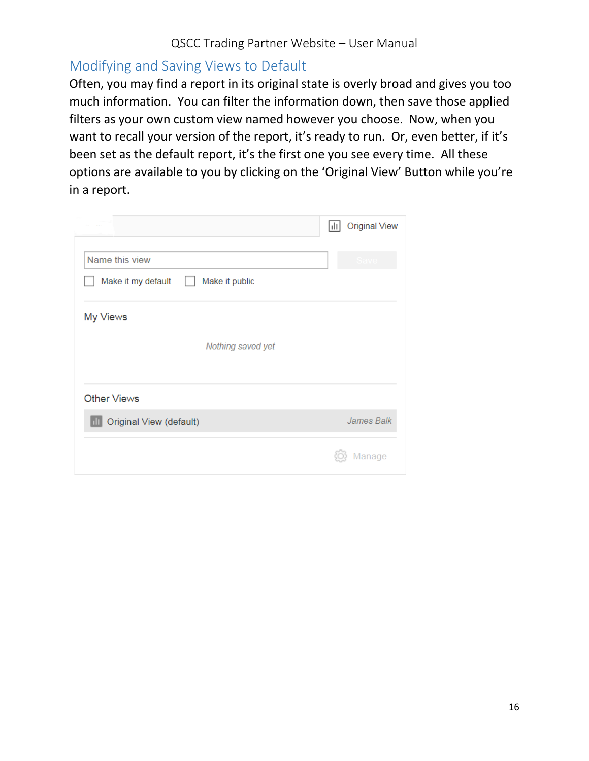### <span id="page-15-0"></span>Modifying and Saving Views to Default

Often, you may find a report in its original state is overly broad and gives you too much information. You can filter the information down, then save those applied filters as your own custom view named however you choose. Now, when you want to recall your version of the report, it's ready to run. Or, even better, if it's been set as the default report, it's the first one you see every time. All these options are available to you by clicking on the 'Original View' Button while you're in a report.

|                                      | Ш | <b>Original View</b> |
|--------------------------------------|---|----------------------|
| Name this view                       |   |                      |
| Make it my default<br>Make it public |   |                      |
| My Views                             |   |                      |
| Nothing saved yet                    |   |                      |
| <b>Other Views</b>                   |   |                      |
| <b>Original View (default)</b><br>ш  |   | James Balk           |
|                                      |   | Manage               |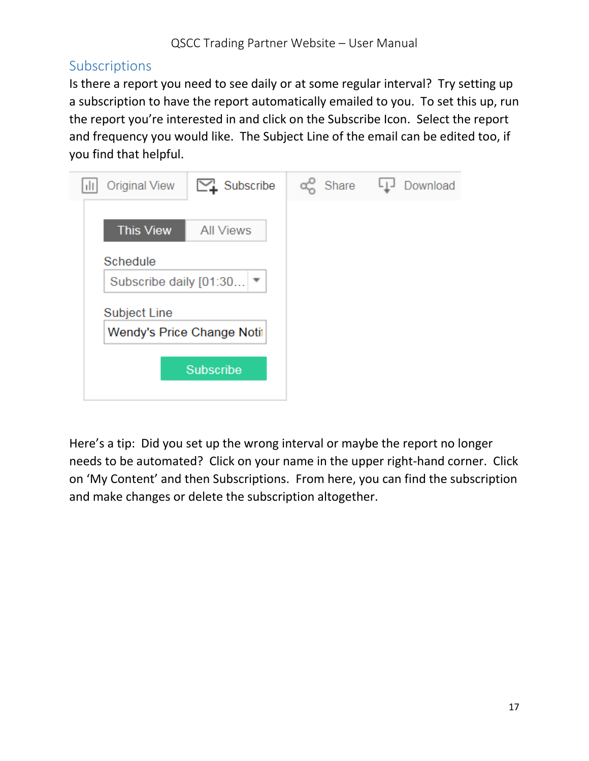### <span id="page-16-0"></span>Subscriptions

Is there a report you need to see daily or at some regular interval? Try setting up a subscription to have the report automatically emailed to you. To set this up, run the report you're interested in and click on the Subscribe Icon. Select the report and frequency you would like. The Subject Line of the email can be edited too, if you find that helpful.

| $\sum_{i}$ Subscribe<br><b>Original View</b> | a Share | Download |
|----------------------------------------------|---------|----------|
| <b>This View</b><br><b>All Views</b>         |         |          |
| Schedule<br>Subscribe daily [01:30 ] ▼       |         |          |
| Subject Line                                 |         |          |
| Wendy's Price Change Notif                   |         |          |
| <b>Subscribe</b>                             |         |          |
|                                              |         |          |

Here's a tip: Did you set up the wrong interval or maybe the report no longer needs to be automated? Click on your name in the upper right-hand corner. Click on 'My Content' and then Subscriptions. From here, you can find the subscription and make changes or delete the subscription altogether.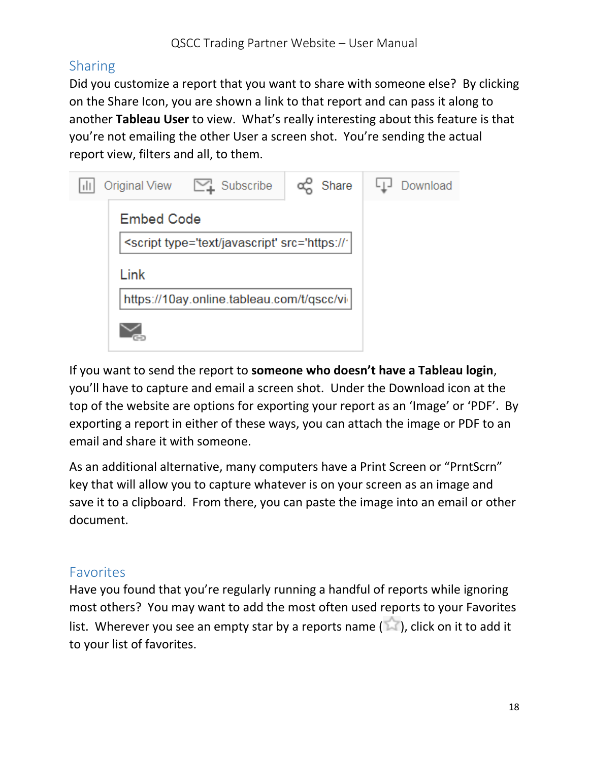### <span id="page-17-0"></span>**Sharing**

Did you customize a report that you want to share with someone else? By clicking on the Share Icon, you are shown a link to that report and can pass it along to another **Tableau User** to view. What's really interesting about this feature is that you're not emailing the other User a screen shot. You're sending the actual report view, filters and all, to them.

| Original View [44] Subscribe                                       | a Share | Download |
|--------------------------------------------------------------------|---------|----------|
| <b>Embed Code</b>                                                  |         |          |
| <script <="" src="https://" td="" type="text/javascript"></script> |         |          |

If you want to send the report to **someone who doesn't have a Tableau login**, you'll have to capture and email a screen shot. Under the Download icon at the top of the website are options for exporting your report as an 'Image' or 'PDF'. By exporting a report in either of these ways, you can attach the image or PDF to an email and share it with someone.

As an additional alternative, many computers have a Print Screen or "PrntScrn" key that will allow you to capture whatever is on your screen as an image and save it to a clipboard. From there, you can paste the image into an email or other document.

### <span id="page-17-1"></span>Favorites

Have you found that you're regularly running a handful of reports while ignoring most others? You may want to add the most often used reports to your Favorites list. Wherever you see an empty star by a reports name  $(\mathbb{R})$ , click on it to add it to your list of favorites.